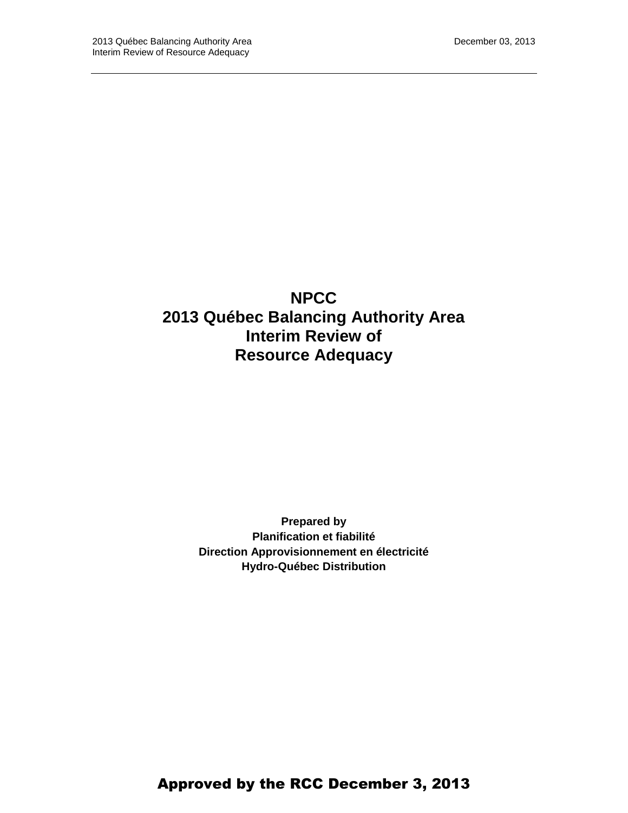# **NPCC 2013 Québec Balancing Authority Area Interim Review of Resource Adequacy**

**Prepared by Planification et fiabilité Direction Approvisionnement en électricité Hydro-Québec Distribution**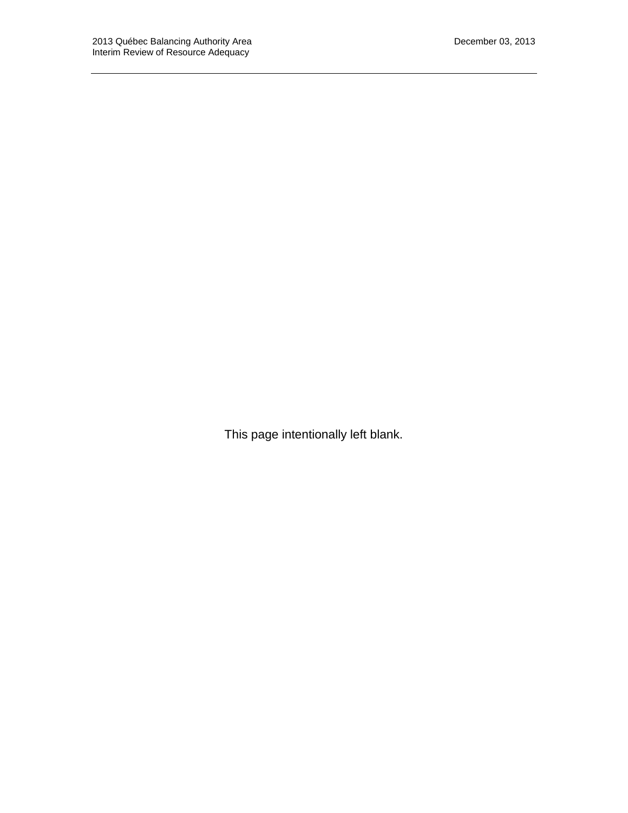This page intentionally left blank.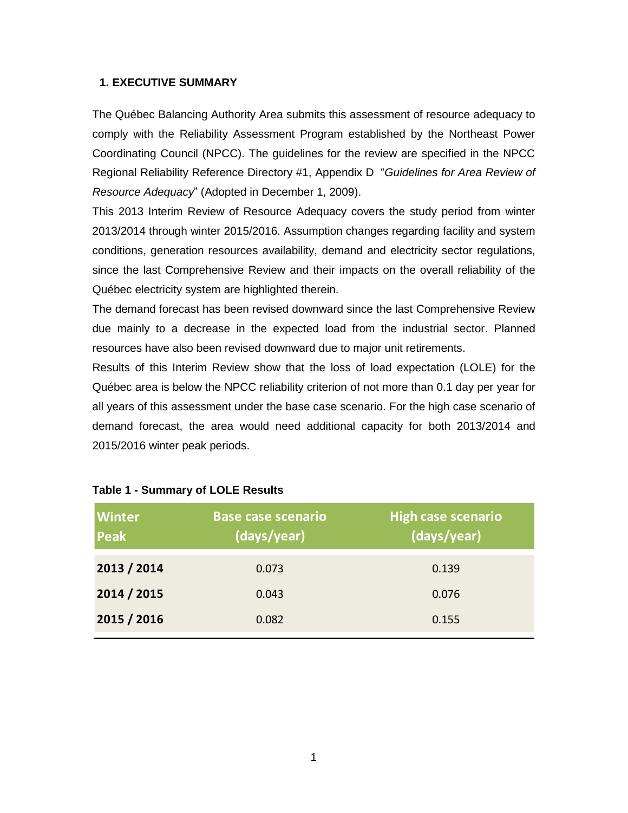## **1. EXECUTIVE SUMMARY**

The Québec Balancing Authority Area submits this assessment of resource adequacy to comply with the Reliability Assessment Program established by the Northeast Power Coordinating Council (NPCC). The guidelines for the review are specified in the NPCC Regional Reliability Reference Directory #1, Appendix D "*Guidelines for Area Review of Resource Adequacy*" (Adopted in December 1, 2009).

This 2013 Interim Review of Resource Adequacy covers the study period from winter 2013/2014 through winter 2015/2016. Assumption changes regarding facility and system conditions, generation resources availability, demand and electricity sector regulations, since the last Comprehensive Review and their impacts on the overall reliability of the Québec electricity system are highlighted therein.

The demand forecast has been revised downward since the last Comprehensive Review due mainly to a decrease in the expected load from the industrial sector. Planned resources have also been revised downward due to major unit retirements.

Results of this Interim Review show that the loss of load expectation (LOLE) for the Québec area is below the NPCC reliability criterion of not more than 0.1 day per year for all years of this assessment under the base case scenario. For the high case scenario of demand forecast, the area would need additional capacity for both 2013/2014 and 2015/2016 winter peak periods.

| <b>Winter</b><br><b>Peak</b> | <b>Base case scenario</b><br>(days/year) | High case scenario<br>(days/year) |
|------------------------------|------------------------------------------|-----------------------------------|
| 2013 / 2014                  | 0.073                                    | 0.139                             |
| 2014 / 2015                  | 0.043                                    | 0.076                             |
| 2015 / 2016                  | 0.082                                    | 0.155                             |

|  | <b>Table 1 - Summary of LOLE Results</b> |  |  |
|--|------------------------------------------|--|--|
|--|------------------------------------------|--|--|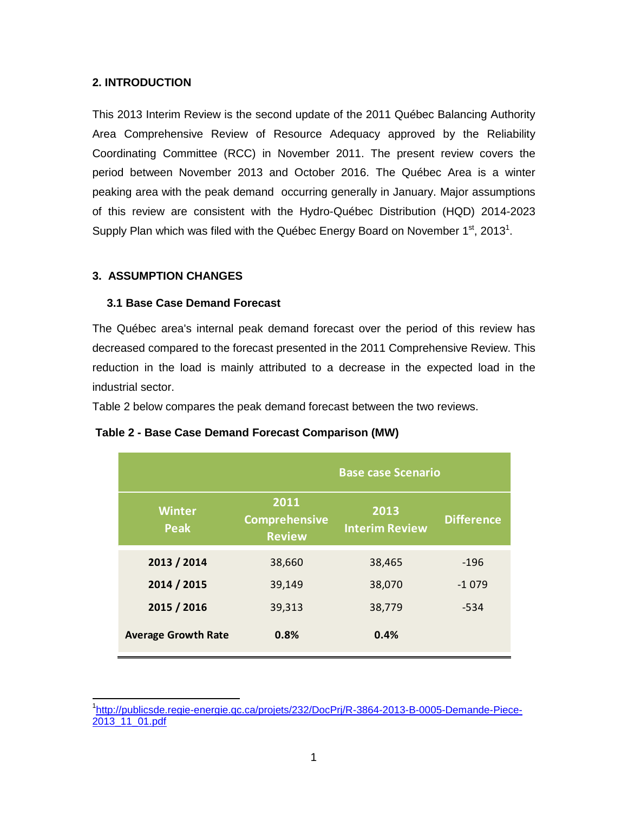## **2. INTRODUCTION**

This 2013 Interim Review is the second update of the 2011 Québec Balancing Authority Area Comprehensive Review of Resource Adequacy approved by the Reliability Coordinating Committee (RCC) in November 2011. The present review covers the period between November 2013 and October 2016. The Québec Area is a winter peaking area with the peak demand occurring generally in January. Major assumptions of this review are consistent with the Hydro-Québec Distribution (HQD) 2014-2023 Supply Plan which was filed with the Québec Energy Board on November  $1<sup>st</sup>$ , 2013<sup>1</sup>.

## **3. ASSUMPTION CHANGES**

 $\overline{a}$ 

## **3.1 Base Case Demand Forecast**

The Québec area's internal peak demand forecast over the period of this review has decreased compared to the forecast presented in the 2011 Comprehensive Review. This reduction in the load is mainly attributed to a decrease in the expected load in the industrial sector.

Table 2 below compares the peak demand forecast between the two reviews.

|                              | <b>Base case Scenario</b>                     |                               |                   |
|------------------------------|-----------------------------------------------|-------------------------------|-------------------|
| <b>Winter</b><br><b>Peak</b> | 2011<br><b>Comprehensive</b><br><b>Review</b> | 2013<br><b>Interim Review</b> | <b>Difference</b> |
| 2013 / 2014                  | 38,660                                        | 38,465                        | $-196$            |
| 2014 / 2015                  | 39,149                                        | 38,070                        | $-1079$           |
| 2015 / 2016                  | 39,313                                        | 38,779                        | $-534$            |
| <b>Average Growth Rate</b>   | 0.8%                                          | 0.4%                          |                   |

#### **Table 2 - Base Case Demand Forecast Comparison (MW)**

<sup>&</sup>lt;sup>1</sup>[http://publicsde.regie-energie.qc.ca/projets/232/DocPrj/R-3864-2013-B-0005-Demande-Piece-](http://publicsde.regie-energie.qc.ca/projets/232/DocPrj/R-3864-2013-B-0005-Demande-Piece-2013_11_01.pdf)[2013\\_11\\_01.pdf](http://publicsde.regie-energie.qc.ca/projets/232/DocPrj/R-3864-2013-B-0005-Demande-Piece-2013_11_01.pdf)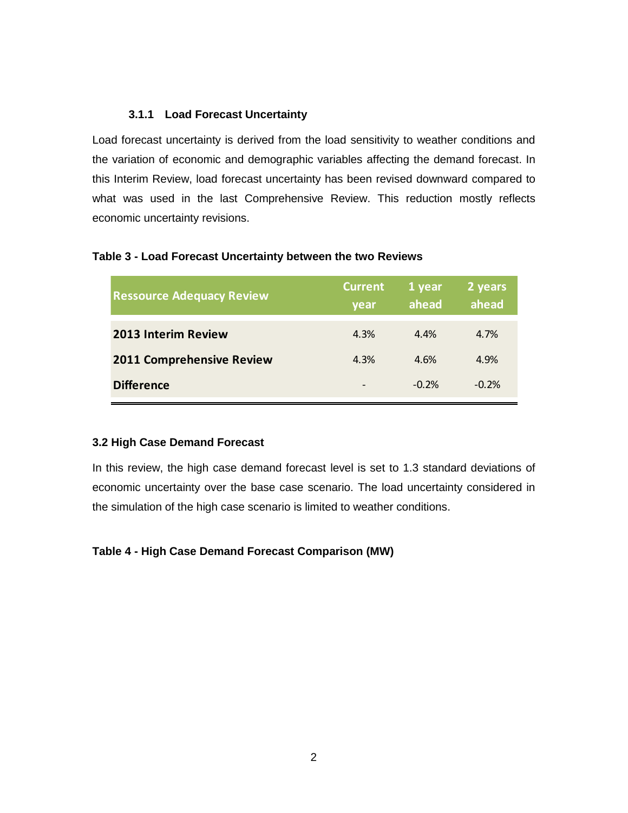# **3.1.1 Load Forecast Uncertainty**

Load forecast uncertainty is derived from the load sensitivity to weather conditions and the variation of economic and demographic variables affecting the demand forecast. In this Interim Review, load forecast uncertainty has been revised downward compared to what was used in the last Comprehensive Review. This reduction mostly reflects economic uncertainty revisions.

| <b>Ressource Adequacy Review</b> | <b>Current</b><br>year | 1 year<br>ahead | 2 years<br>ahead |
|----------------------------------|------------------------|-----------------|------------------|
| 2013 Interim Review              | 4.3%                   | 4.4%            | 4.7%             |
| <b>2011 Comprehensive Review</b> | 4.3%                   | 4.6%            | 4.9%             |
| <b>Difference</b>                |                        | $-0.2%$         | $-0.2%$          |

## **Table 3 - Load Forecast Uncertainty between the two Reviews**

## **3.2 High Case Demand Forecast**

In this review, the high case demand forecast level is set to 1.3 standard deviations of economic uncertainty over the base case scenario. The load uncertainty considered in the simulation of the high case scenario is limited to weather conditions.

## **Table 4 - High Case Demand Forecast Comparison (MW)**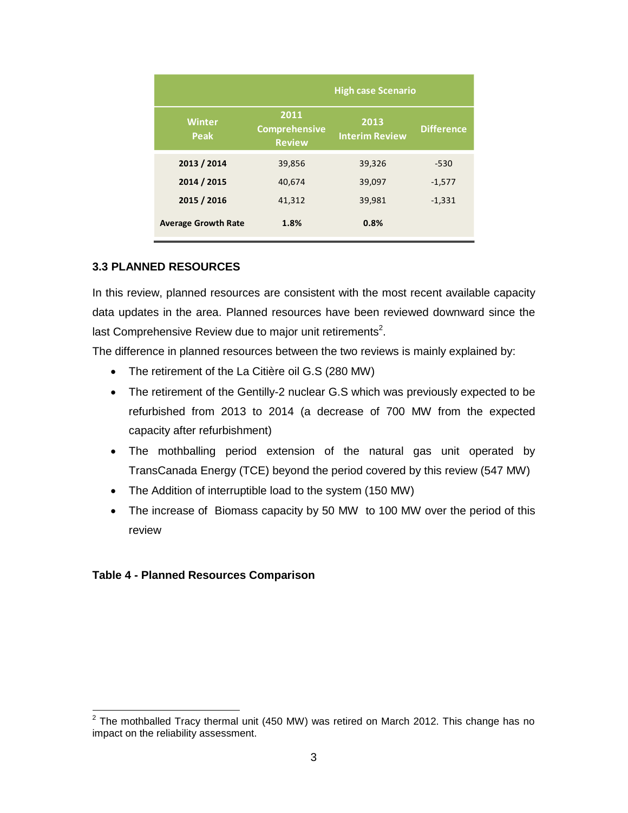|                              | <b>High case Scenario</b>                     |                               |                   |
|------------------------------|-----------------------------------------------|-------------------------------|-------------------|
| <b>Winter</b><br><b>Peak</b> | 2011<br><b>Comprehensive</b><br><b>Review</b> | 2013<br><b>Interim Review</b> | <b>Difference</b> |
| 2013 / 2014                  | 39,856                                        | 39,326                        | $-530$            |
| 2014 / 2015                  | 40,674                                        | 39,097                        | $-1,577$          |
| 2015 / 2016                  | 41,312                                        | 39,981                        | $-1,331$          |
| <b>Average Growth Rate</b>   | 1.8%                                          | 0.8%                          |                   |

# **3.3 PLANNED RESOURCES**

In this review, planned resources are consistent with the most recent available capacity data updates in the area. Planned resources have been reviewed downward since the last Comprehensive Review due to major unit retirements<sup>2</sup>.

The difference in planned resources between the two reviews is mainly explained by:

- The retirement of the La Citière oil G.S (280 MW)
- The retirement of the Gentilly-2 nuclear G.S which was previously expected to be refurbished from 2013 to 2014 (a decrease of 700 MW from the expected capacity after refurbishment)
- The mothballing period extension of the natural gas unit operated by TransCanada Energy (TCE) beyond the period covered by this review (547 MW)
- The Addition of interruptible load to the system (150 MW)
- The increase of Biomass capacity by 50 MW to 100 MW over the period of this review

#### **Table 4 - Planned Resources Comparison**

<sup>&</sup>lt;u>2</u><br><sup>2</sup> The mothballed Tracy thermal unit (450 MW) was retired on March 2012. This change has no impact on the reliability assessment.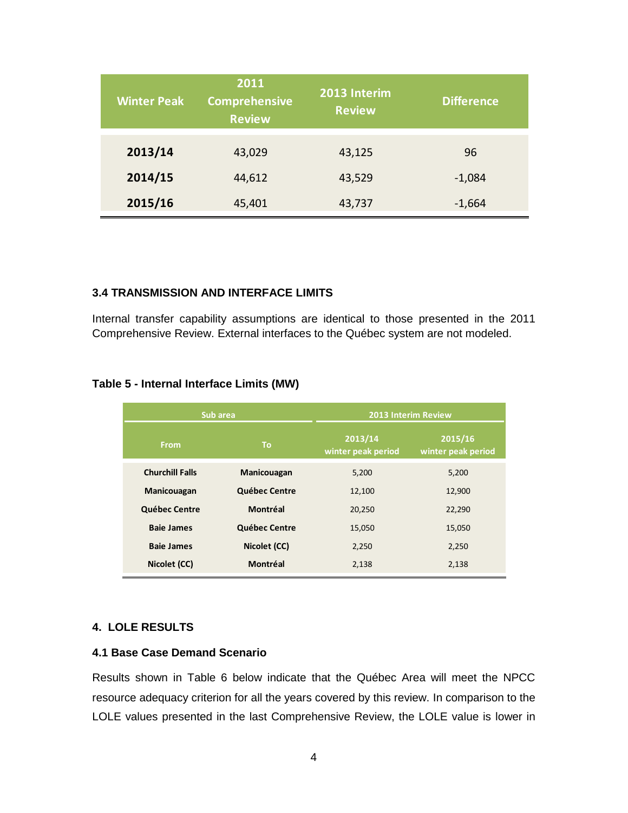| <b>Winter Peak</b> | 2011<br><b>Comprehensive</b><br><b>Review</b> | 2013 Interim<br><b>Review</b> | <b>Difference</b> |
|--------------------|-----------------------------------------------|-------------------------------|-------------------|
| 2013/14            | 43,029                                        | 43,125                        | 96                |
| 2014/15            | 44,612                                        | 43,529                        | $-1,084$          |
| 2015/16            | 45,401                                        | 43,737                        | $-1,664$          |

# **3.4 TRANSMISSION AND INTERFACE LIMITS**

Internal transfer capability assumptions are identical to those presented in the 2011 Comprehensive Review. External interfaces to the Québec system are not modeled.

# **Table 5 - Internal Interface Limits (MW)**

| Sub area               |               | <b>2013 Interim Review</b>    |                               |  |
|------------------------|---------------|-------------------------------|-------------------------------|--|
| <b>From</b>            | <b>To</b>     | 2013/14<br>winter peak period | 2015/16<br>winter peak period |  |
| <b>Churchill Falls</b> | Manicouagan   | 5,200                         | 5,200                         |  |
| Manicouagan            | Québec Centre | 12,100                        | 12,900                        |  |
| Québec Centre          | Montréal      | 20,250                        | 22,290                        |  |
| <b>Baie James</b>      | Québec Centre | 15,050                        | 15,050                        |  |
| <b>Baie James</b>      | Nicolet (CC)  | 2,250                         | 2,250                         |  |
| Nicolet (CC)           | Montréal      | 2,138                         | 2,138                         |  |

## **4. LOLE RESULTS**

## **4.1 Base Case Demand Scenario**

Results shown in Table 6 below indicate that the Québec Area will meet the NPCC resource adequacy criterion for all the years covered by this review. In comparison to the LOLE values presented in the last Comprehensive Review, the LOLE value is lower in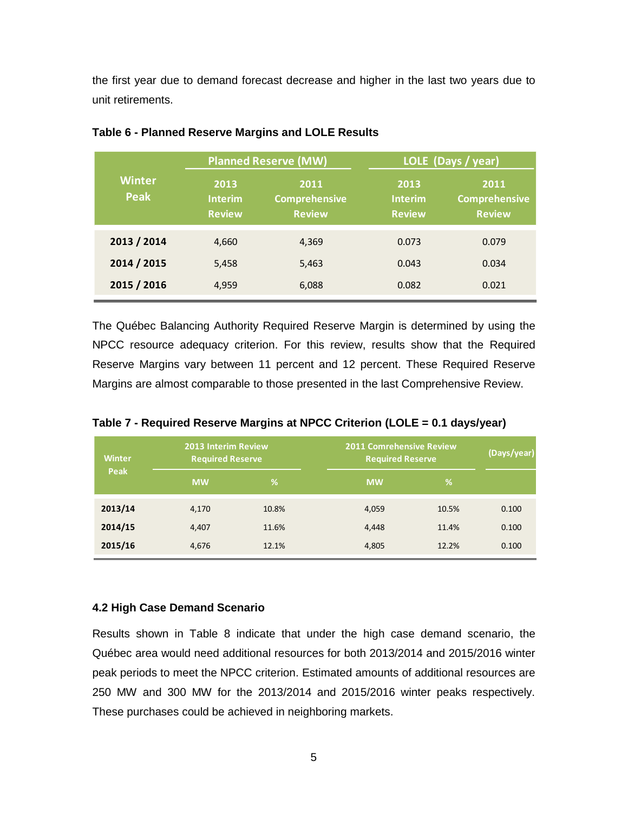the first year due to demand forecast decrease and higher in the last two years due to unit retirements.

|                              |                                         | <b>Planned Reserve (MW)</b>                   |                                  | LOLE (Days / year)                            |  |
|------------------------------|-----------------------------------------|-----------------------------------------------|----------------------------------|-----------------------------------------------|--|
| <b>Winter</b><br><b>Peak</b> | 2013<br><b>Interim</b><br><b>Review</b> | 2011<br><b>Comprehensive</b><br><b>Review</b> | 2013<br>Interim<br><b>Review</b> | 2011<br><b>Comprehensive</b><br><b>Review</b> |  |
| 2013 / 2014                  | 4,660                                   | 4,369                                         | 0.073                            | 0.079                                         |  |
| 2014 / 2015                  | 5,458                                   | 5,463                                         | 0.043                            | 0.034                                         |  |
| 2015 / 2016                  | 4,959                                   | 6,088                                         | 0.082                            | 0.021                                         |  |

## **Table 6 - Planned Reserve Margins and LOLE Results**

The Québec Balancing Authority Required Reserve Margin is determined by using the NPCC resource adequacy criterion. For this review, results show that the Required Reserve Margins vary between 11 percent and 12 percent. These Required Reserve Margins are almost comparable to those presented in the last Comprehensive Review.

| <b>Winter</b> | <b>2013 Interim Review</b><br><b>Required Reserve</b> |       | <b>2011 Comrehensive Review</b><br><b>Required Reserve</b> |       | (Days/year) |
|---------------|-------------------------------------------------------|-------|------------------------------------------------------------|-------|-------------|
| <b>Peak</b>   | <b>MW</b>                                             | $\%$  | <b>MW</b>                                                  | %     |             |
| 2013/14       | 4,170                                                 | 10.8% | 4,059                                                      | 10.5% | 0.100       |
| 2014/15       | 4,407                                                 | 11.6% | 4,448                                                      | 11.4% | 0.100       |
| 2015/16       | 4,676                                                 | 12.1% | 4,805                                                      | 12.2% | 0.100       |
|               |                                                       |       |                                                            |       |             |

**Table 7 - Required Reserve Margins at NPCC Criterion (LOLE = 0.1 days/year)** 

#### **4.2 High Case Demand Scenario**

Results shown in Table 8 indicate that under the high case demand scenario, the Québec area would need additional resources for both 2013/2014 and 2015/2016 winter peak periods to meet the NPCC criterion. Estimated amounts of additional resources are 250 MW and 300 MW for the 2013/2014 and 2015/2016 winter peaks respectively. These purchases could be achieved in neighboring markets.